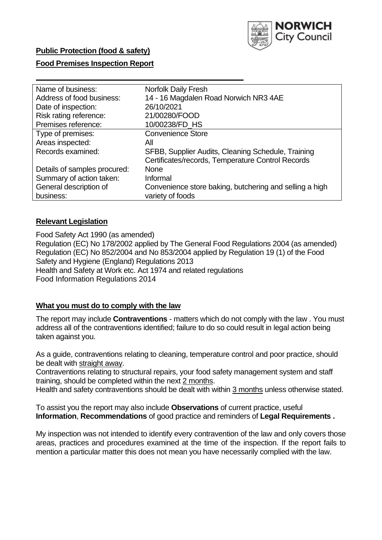

### **Public Protection (food & safety)**

#### **Food Premises Inspection Report**

| Name of business:            | <b>Norfolk Daily Fresh</b>                              |  |  |  |  |
|------------------------------|---------------------------------------------------------|--|--|--|--|
| Address of food business:    | 14 - 16 Magdalen Road Norwich NR3 4AE                   |  |  |  |  |
| Date of inspection:          | 26/10/2021                                              |  |  |  |  |
| Risk rating reference:       | 21/00280/FOOD                                           |  |  |  |  |
| Premises reference:          | 10/00238/FD_HS                                          |  |  |  |  |
| Type of premises:            | <b>Convenience Store</b>                                |  |  |  |  |
| Areas inspected:             | All                                                     |  |  |  |  |
| Records examined:            | SFBB, Supplier Audits, Cleaning Schedule, Training      |  |  |  |  |
|                              | Certificates/records, Temperature Control Records       |  |  |  |  |
| Details of samples procured: | <b>None</b>                                             |  |  |  |  |
| Summary of action taken:     | Informal                                                |  |  |  |  |
| General description of       | Convenience store baking, butchering and selling a high |  |  |  |  |
| business:                    | variety of foods                                        |  |  |  |  |

### **Relevant Legislation**

 Food Safety Act 1990 (as amended) Regulation (EC) No 178/2002 applied by The General Food Regulations 2004 (as amended) Regulation (EC) No 852/2004 and No 853/2004 applied by Regulation 19 (1) of the Food Safety and Hygiene (England) Regulations 2013 Health and Safety at Work etc. Act 1974 and related regulations Food Information Regulations 2014

#### **What you must do to comply with the law**

 The report may include **Contraventions** - matters which do not comply with the law . You must address all of the contraventions identified; failure to do so could result in legal action being taken against you.

 As a guide, contraventions relating to cleaning, temperature control and poor practice, should be dealt with straight away.

 Contraventions relating to structural repairs, your food safety management system and staff training, should be completed within the next 2 months.

Health and safety contraventions should be dealt with within 3 months unless otherwise stated.

 To assist you the report may also include **Observations** of current practice, useful **Information**, **Recommendations** of good practice and reminders of **Legal Requirements .** 

 My inspection was not intended to identify every contravention of the law and only covers those areas, practices and procedures examined at the time of the inspection. If the report fails to mention a particular matter this does not mean you have necessarily complied with the law.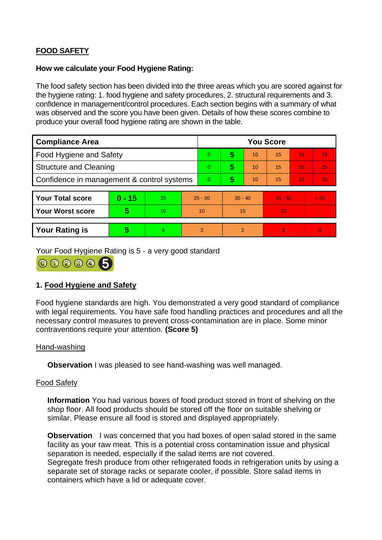# **FOOD SAFETY**

#### **How we calculate your Food Hygiene Rating:**

 The food safety section has been divided into the three areas which you are scored against for the hygiene rating: 1. food hygiene and safety procedures, 2. structural requirements and 3. confidence in management/control procedures. Each section begins with a summary of what was observed and the score you have been given. Details of how these scores combine to produce your overall food hygiene rating are shown in the table.

| <b>Compliance Area</b>                     |          |    |           | <b>You Score</b> |                |    |           |    |          |  |  |
|--------------------------------------------|----------|----|-----------|------------------|----------------|----|-----------|----|----------|--|--|
| Food Hygiene and Safety                    |          |    |           | $\overline{0}$   | 5              | 10 | 15        | 20 | 25       |  |  |
| <b>Structure and Cleaning</b>              |          |    | $\Omega$  | 5                | 10             | 15 | 20        | 25 |          |  |  |
| Confidence in management & control systems |          |    |           | $\Omega$         | 5              | 10 | 15        | 20 | 30       |  |  |
|                                            |          |    |           |                  |                |    |           |    |          |  |  |
| <b>Your Total score</b>                    | $0 - 15$ | 20 | $25 - 30$ |                  | $35 - 40$      |    | $45 - 50$ |    | > 50     |  |  |
| Your Worst score                           | 5        | 10 | 10        |                  | 15             |    | 20        |    |          |  |  |
|                                            |          |    |           |                  |                |    |           |    |          |  |  |
| <b>Your Rating is</b>                      | 5        | 4  | 3         |                  | $\overline{2}$ |    |           |    | $\Omega$ |  |  |

Your Food Hygiene Rating is 5 - a very good standard



# **1. Food Hygiene and Safety**

 with legal requirements. You have safe food handling practices and procedures and all the Food hygiene standards are high. You demonstrated a very good standard of compliance necessary control measures to prevent cross-contamination are in place. Some minor contraventions require your attention. **(Score 5)** 

#### Hand-washing

**Observation** I was pleased to see hand-washing was well managed.

#### Food Safety

 **Information** You had various boxes of food product stored in front of shelving on the similar. Please ensure all food is stored and displayed appropriately. shop floor. All food products should be stored off the floor on suitable shelving or

 **Observation** I was concerned that you had boxes of open salad stored in the same Segregate fresh produce from other refrigerated foods in refrigeration units by using a facility as your raw meat. This is a potential cross contamination issue and physical separation is needed, especially if the salad items are not covered. separate set of storage racks or separate cooler, if possible. Store salad items in containers which have a lid or adequate cover.